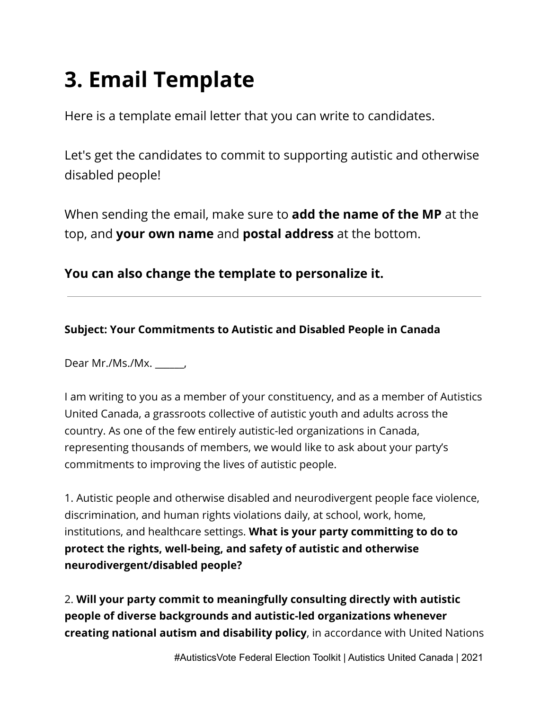## **3. Email Template**

Here is a template email letter that you can write to candidates.

Let's get the candidates to commit to supporting autistic and otherwise disabled people!

When sending the email, make sure to **add the name of the MP** at the top, and **your own name** and **postal address** at the bottom.

**You can also change the template to personalize it.**

## **Subject: Your Commitments to Autistic and Disabled People in Canada**

Dear Mr./Ms./Mx. \_\_\_\_\_\_,

I am writing to you as a member of your constituency, and as a member of Autistics United Canada, a grassroots collective of autistic youth and adults across the country. As one of the few entirely autistic-led organizations in Canada, representing thousands of members, we would like to ask about your party's commitments to improving the lives of autistic people.

1. Autistic people and otherwise disabled and neurodivergent people face violence, discrimination, and human rights violations daily, at school, work, home, institutions, and healthcare settings. **What is your party committing to do to protect the rights, well-being, and safety of autistic and otherwise neurodivergent/disabled people?**

2. **Will your party commit to meaningfully consulting directly with autistic people of diverse backgrounds and autistic-led organizations whenever creating national autism and disability policy**, in accordance with United Nations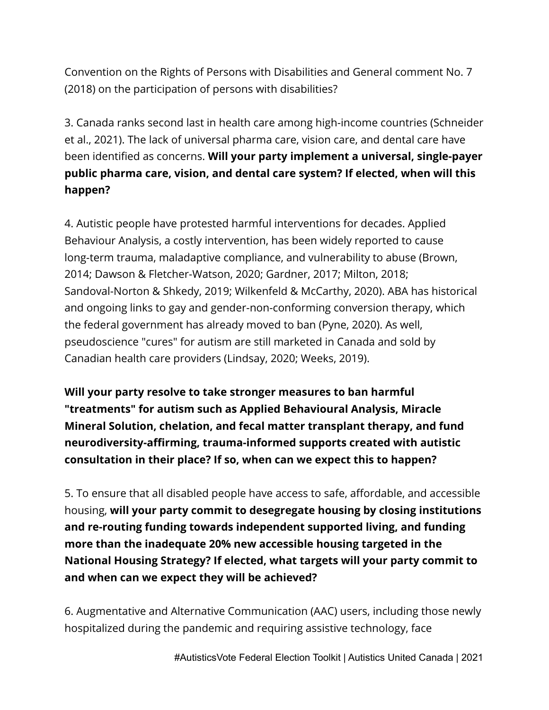Convention on the Rights of Persons with Disabilities and General comment No. 7 (2018) on the participation of persons with disabilities?

3. Canada ranks second last in health care among high-income countries (Schneider et al., 2021). The lack of universal pharma care, vision care, and dental care have been identified as concerns. **Will your party implement a universal, single-payer public pharma care, vision, and dental care system? If elected, when will this happen?**

4. Autistic people have protested harmful interventions for decades. Applied Behaviour Analysis, a costly intervention, has been widely reported to cause long-term trauma, maladaptive compliance, and vulnerability to abuse (Brown, 2014; Dawson & Fletcher-Watson, 2020; Gardner, 2017; Milton, 2018; Sandoval-Norton & Shkedy, 2019; Wilkenfeld & McCarthy, 2020). ABA has historical and ongoing links to gay and gender-non-conforming conversion therapy, which the federal government has already moved to ban (Pyne, 2020). As well, pseudoscience "cures" for autism are still marketed in Canada and sold by Canadian health care providers (Lindsay, 2020; Weeks, 2019).

**Will your party resolve to take stronger measures to ban harmful "treatments" for autism such as Applied Behavioural Analysis, Miracle Mineral Solution, chelation, and fecal matter transplant therapy, and fund neurodiversity-affirming, trauma-informed supports created with autistic consultation in their place? If so, when can we expect this to happen?**

5. To ensure that all disabled people have access to safe, affordable, and accessible housing, **will your party commit to desegregate housing by closing institutions and re-routing funding towards independent supported living, and funding more than the inadequate 20% new accessible housing targeted in the National Housing Strategy? If elected, what targets will your party commit to and when can we expect they will be achieved?**

6. Augmentative and Alternative Communication (AAC) users, including those newly hospitalized during the pandemic and requiring assistive technology, face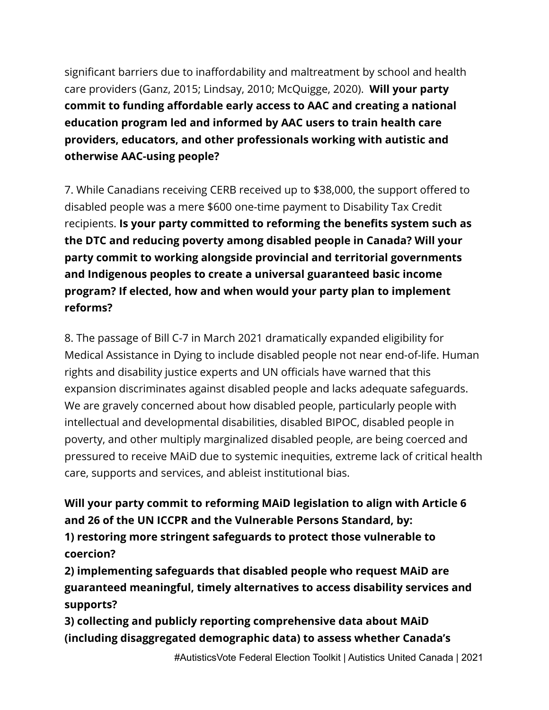significant barriers due to inaffordability and maltreatment by school and health care providers (Ganz, 2015; Lindsay, 2010; McQuigge, 2020). **Will your party commit to funding affordable early access to AAC and creating a national education program led and informed by AAC users to train health care providers, educators, and other professionals working with autistic and otherwise AAC-using people?**

7. While Canadians receiving CERB received up to \$38,000, the support offered to disabled people was a mere \$600 one-time payment to Disability Tax Credit recipients. **Is your party committed to reforming the benefits system such as the DTC and reducing poverty among disabled people in Canada? Will your party commit to working alongside provincial and territorial governments and Indigenous peoples to create a universal guaranteed basic income program? If elected, how and when would your party plan to implement reforms?**

8. The passage of Bill C-7 in March 2021 dramatically expanded eligibility for Medical Assistance in Dying to include disabled people not near end-of-life. Human rights and disability justice experts and UN officials have warned that this expansion discriminates against disabled people and lacks adequate safeguards. We are gravely concerned about how disabled people, particularly people with intellectual and developmental disabilities, disabled BIPOC, disabled people in poverty, and other multiply marginalized disabled people, are being coerced and pressured to receive MAiD due to systemic inequities, extreme lack of critical health care, supports and services, and ableist institutional bias.

**Will your party commit to reforming MAiD legislation to align with Article 6 and 26 of the UN ICCPR and the Vulnerable Persons Standard, by: 1) restoring more stringent safeguards to protect those vulnerable to**

**coercion?**

**2) implementing safeguards that disabled people who request MAiD are guaranteed meaningful, timely alternatives to access disability services and supports?**

**3) collecting and publicly reporting comprehensive data about MAiD (including disaggregated demographic data) to assess whether Canada's**